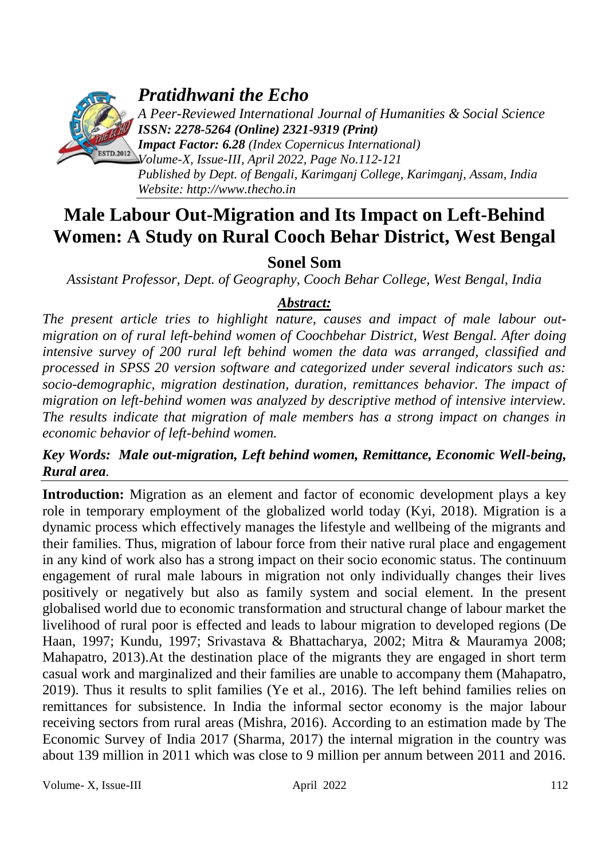

*Pratidhwani the Echo*

*A Peer-Reviewed International Journal of Humanities & Social Science ISSN: 2278-5264 (Online) 2321-9319 (Print) Impact Factor: 6.28 (Index Copernicus International)*

*Volume-X, Issue-III, April 2022, Page No.112-121 Published by Dept. of Bengali, Karimganj College, Karimganj, Assam, India Website: [http://www.thecho.in](http://www.thecho.in/)*

# **Male Labour Out-Migration and Its Impact on Left-Behind Women: A Study on Rural Cooch Behar District, West Bengal**

# **Sonel Som**

*Assistant Professor, Dept. of Geography, Cooch Behar College, West Bengal, India*

# *Abstract:*

*The present article tries to highlight nature, causes and impact of male labour outmigration on of rural left-behind women of Coochbehar District, West Bengal. After doing intensive survey of 200 rural left behind women the data was arranged, classified and processed in SPSS 20 version software and categorized under several indicators such as: socio-demographic, migration destination, duration, remittances behavior. The impact of migration on left-behind women was analyzed by descriptive method of intensive interview. The results indicate that migration of male members has a strong impact on changes in economic behavior of left-behind women.* 

## *Key Words: Male out-migration, Left behind women, Remittance, Economic Well-being, Rural area.*

**Introduction:** Migration as an element and factor of economic development plays a key role in temporary employment of the globalized world today (Kyi, 2018). Migration is a dynamic process which effectively manages the lifestyle and wellbeing of the migrants and their families. Thus, migration of labour force from their native rural place and engagement in any kind of work also has a strong impact on their socio economic status. The continuum engagement of rural male labours in migration not only individually changes their lives positively or negatively but also as family system and social element. In the present globalised world due to economic transformation and structural change of labour market the livelihood of rural poor is effected and leads to labour migration to developed regions (De Haan, 1997; Kundu, 1997; Srivastava & Bhattacharya, 2002; Mitra & Mauramya 2008; Mahapatro, 2013).At the destination place of the migrants they are engaged in short term casual work and marginalized and their families are unable to accompany them (Mahapatro, 2019). Thus it results to split families (Ye et al., 2016). The left behind families relies on remittances for subsistence. In India the informal sector economy is the major labour receiving sectors from rural areas (Mishra, 2016). According to an estimation made by The Economic Survey of India 2017 (Sharma, 2017) the internal migration in the country was about 139 million in 2011 which was close to 9 million per annum between 2011 and 2016.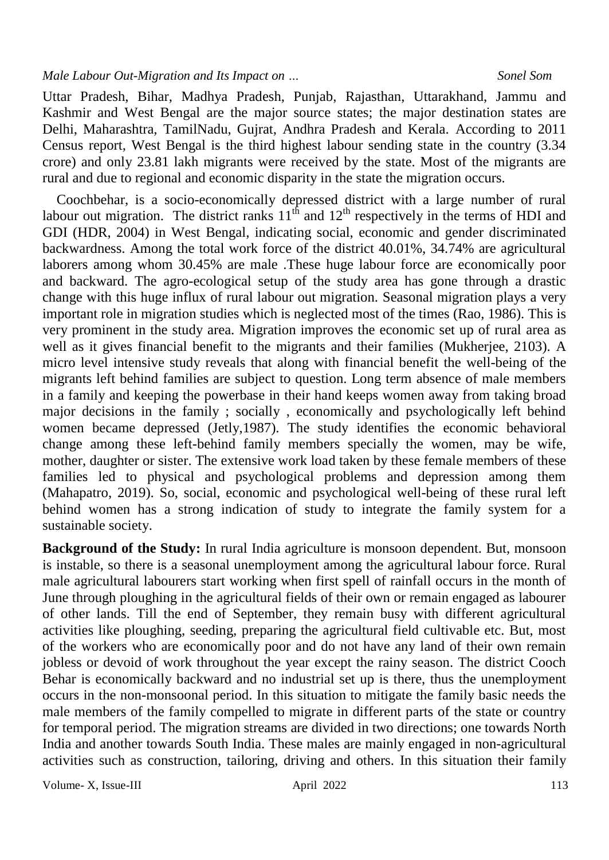Uttar Pradesh, Bihar, Madhya Pradesh, Punjab, Rajasthan, Uttarakhand, Jammu and Kashmir and West Bengal are the major source states; the major destination states are Delhi, Maharashtra, TamilNadu, Gujrat, Andhra Pradesh and Kerala. According to 2011 Census report, West Bengal is the third highest labour sending state in the country (3.34 crore) and only 23.81 lakh migrants were received by the state. Most of the migrants are rural and due to regional and economic disparity in the state the migration occurs.

 Coochbehar, is a socio-economically depressed district with a large number of rural labour out migration. The district ranks  $11<sup>th</sup>$  and  $12<sup>th</sup>$  respectively in the terms of HDI and GDI (HDR, 2004) in West Bengal, indicating social, economic and gender discriminated backwardness. Among the total work force of the district 40.01%, 34.74% are agricultural laborers among whom 30.45% are male .These huge labour force are economically poor and backward. The agro-ecological setup of the study area has gone through a drastic change with this huge influx of rural labour out migration. Seasonal migration plays a very important role in migration studies which is neglected most of the times (Rao, 1986). This is very prominent in the study area. Migration improves the economic set up of rural area as well as it gives financial benefit to the migrants and their families (Mukherjee, 2103). A micro level intensive study reveals that along with financial benefit the well-being of the migrants left behind families are subject to question. Long term absence of male members in a family and keeping the powerbase in their hand keeps women away from taking broad major decisions in the family ; socially , economically and psychologically left behind women became depressed (Jetly,1987). The study identifies the economic behavioral change among these left-behind family members specially the women, may be wife, mother, daughter or sister. The extensive work load taken by these female members of these families led to physical and psychological problems and depression among them (Mahapatro, 2019). So, social, economic and psychological well-being of these rural left behind women has a strong indication of study to integrate the family system for a sustainable society.

**Background of the Study:** In rural India agriculture is monsoon dependent. But, monsoon is instable, so there is a seasonal unemployment among the agricultural labour force. Rural male agricultural labourers start working when first spell of rainfall occurs in the month of June through ploughing in the agricultural fields of their own or remain engaged as labourer of other lands. Till the end of September, they remain busy with different agricultural activities like ploughing, seeding, preparing the agricultural field cultivable etc. But, most of the workers who are economically poor and do not have any land of their own remain jobless or devoid of work throughout the year except the rainy season. The district Cooch Behar is economically backward and no industrial set up is there, thus the unemployment occurs in the non-monsoonal period. In this situation to mitigate the family basic needs the male members of the family compelled to migrate in different parts of the state or country for temporal period. The migration streams are divided in two directions; one towards North India and another towards South India. These males are mainly engaged in non-agricultural activities such as construction, tailoring, driving and others. In this situation their family

Volume- X, Issue-III and April 2022 113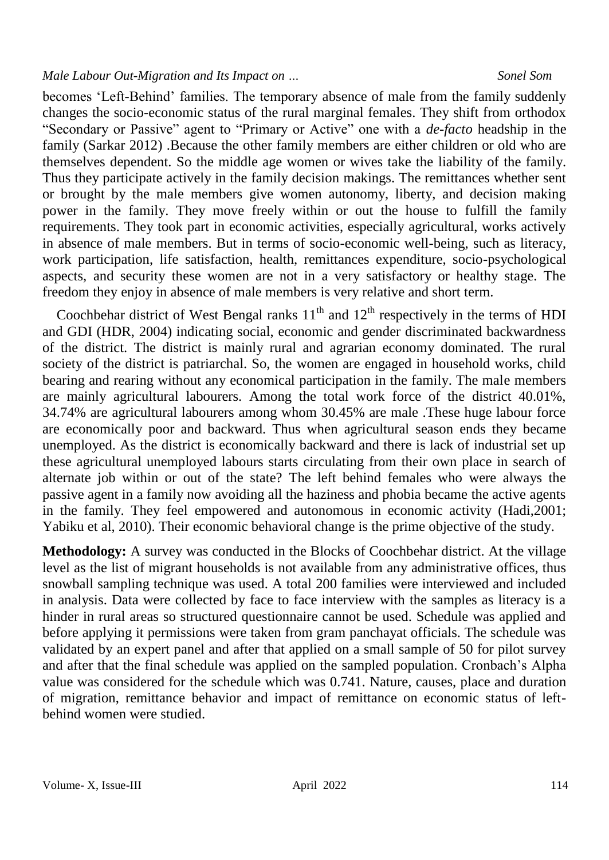becomes 'Left-Behind' families. The temporary absence of male from the family suddenly changes the socio-economic status of the rural marginal females. They shift from orthodox "Secondary or Passive" agent to "Primary or Active" one with a *de-facto* headship in the family (Sarkar 2012) .Because the other family members are either children or old who are themselves dependent. So the middle age women or wives take the liability of the family. Thus they participate actively in the family decision makings. The remittances whether sent or brought by the male members give women autonomy, liberty, and decision making power in the family. They move freely within or out the house to fulfill the family requirements. They took part in economic activities, especially agricultural, works actively in absence of male members. But in terms of socio-economic well-being, such as literacy, work participation, life satisfaction, health, remittances expenditure, socio-psychological aspects, and security these women are not in a very satisfactory or healthy stage. The freedom they enjoy in absence of male members is very relative and short term.

Coochbehar district of West Bengal ranks  $11<sup>th</sup>$  and  $12<sup>th</sup>$  respectively in the terms of HDI and GDI (HDR, 2004) indicating social, economic and gender discriminated backwardness of the district. The district is mainly rural and agrarian economy dominated. The rural society of the district is patriarchal. So, the women are engaged in household works, child bearing and rearing without any economical participation in the family. The male members are mainly agricultural labourers. Among the total work force of the district 40.01%, 34.74% are agricultural labourers among whom 30.45% are male .These huge labour force are economically poor and backward. Thus when agricultural season ends they became unemployed. As the district is economically backward and there is lack of industrial set up these agricultural unemployed labours starts circulating from their own place in search of alternate job within or out of the state? The left behind females who were always the passive agent in a family now avoiding all the haziness and phobia became the active agents in the family. They feel empowered and autonomous in economic activity (Hadi,2001; Yabiku et al, 2010). Their economic behavioral change is the prime objective of the study.

**Methodology:** A survey was conducted in the Blocks of Coochbehar district. At the village level as the list of migrant households is not available from any administrative offices, thus snowball sampling technique was used. A total 200 families were interviewed and included in analysis. Data were collected by face to face interview with the samples as literacy is a hinder in rural areas so structured questionnaire cannot be used. Schedule was applied and before applying it permissions were taken from gram panchayat officials. The schedule was validated by an expert panel and after that applied on a small sample of 50 for pilot survey and after that the final schedule was applied on the sampled population. Cronbach's Alpha value was considered for the schedule which was 0.741. Nature, causes, place and duration of migration, remittance behavior and impact of remittance on economic status of leftbehind women were studied.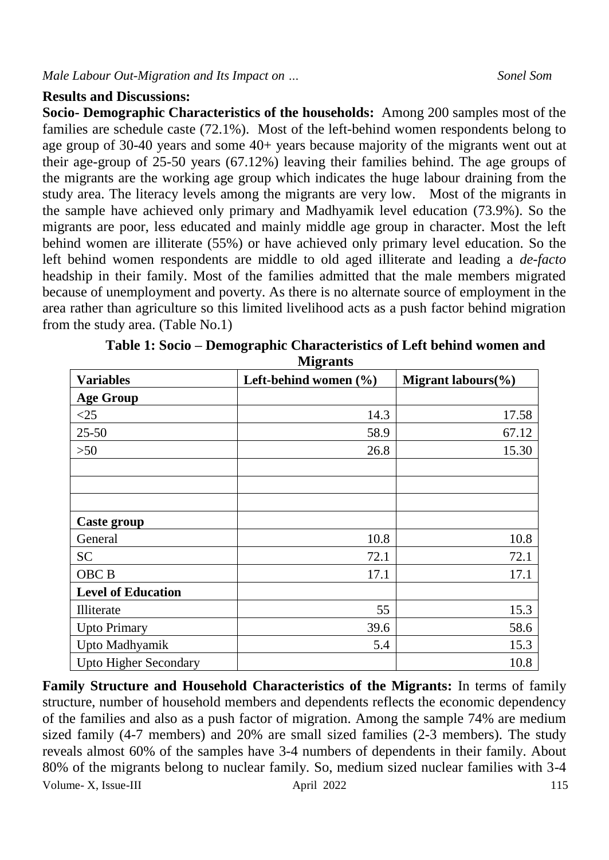### **Results and Discussions:**

**Socio- Demographic Characteristics of the households:** Among 200 samples most of the families are schedule caste (72.1%). Most of the left-behind women respondents belong to age group of 30-40 years and some 40+ years because majority of the migrants went out at their age-group of 25-50 years (67.12%) leaving their families behind. The age groups of the migrants are the working age group which indicates the huge labour draining from the study area. The literacy levels among the migrants are very low. Most of the migrants in the sample have achieved only primary and Madhyamik level education (73.9%). So the migrants are poor, less educated and mainly middle age group in character. Most the left behind women are illiterate (55%) or have achieved only primary level education. So the left behind women respondents are middle to old aged illiterate and leading a *de-facto* headship in their family. Most of the families admitted that the male members migrated because of unemployment and poverty. As there is no alternate source of employment in the area rather than agriculture so this limited livelihood acts as a push factor behind migration from the study area. (Table No.1)

| мидиания                     |                       |                    |  |  |  |
|------------------------------|-----------------------|--------------------|--|--|--|
| <b>Variables</b>             | Left-behind women (%) | Migrant labours(%) |  |  |  |
| <b>Age Group</b>             |                       |                    |  |  |  |
| <25                          | 14.3                  | 17.58              |  |  |  |
| $25 - 50$                    | 58.9                  | 67.12              |  |  |  |
| $>50$                        | 26.8                  | 15.30              |  |  |  |
|                              |                       |                    |  |  |  |
|                              |                       |                    |  |  |  |
|                              |                       |                    |  |  |  |
| Caste group                  |                       |                    |  |  |  |
| General                      | 10.8                  | 10.8               |  |  |  |
| <b>SC</b>                    | 72.1                  | 72.1               |  |  |  |
| OBC <sub>B</sub>             | 17.1                  | 17.1               |  |  |  |
| <b>Level of Education</b>    |                       |                    |  |  |  |
| Illiterate                   | 55                    | 15.3               |  |  |  |
| <b>Upto Primary</b>          | 39.6                  | 58.6               |  |  |  |
| Upto Madhyamik               | 5.4                   | 15.3               |  |  |  |
| <b>Upto Higher Secondary</b> |                       | 10.8               |  |  |  |

**Table 1: Socio – Demographic Characteristics of Left behind women and Migrants**

Volume- X, Issue-III april 2022 115 **Family Structure and Household Characteristics of the Migrants:** In terms of family structure, number of household members and dependents reflects the economic dependency of the families and also as a push factor of migration. Among the sample 74% are medium sized family (4-7 members) and 20% are small sized families (2-3 members). The study reveals almost 60% of the samples have 3-4 numbers of dependents in their family. About 80% of the migrants belong to nuclear family. So, medium sized nuclear families with 3-4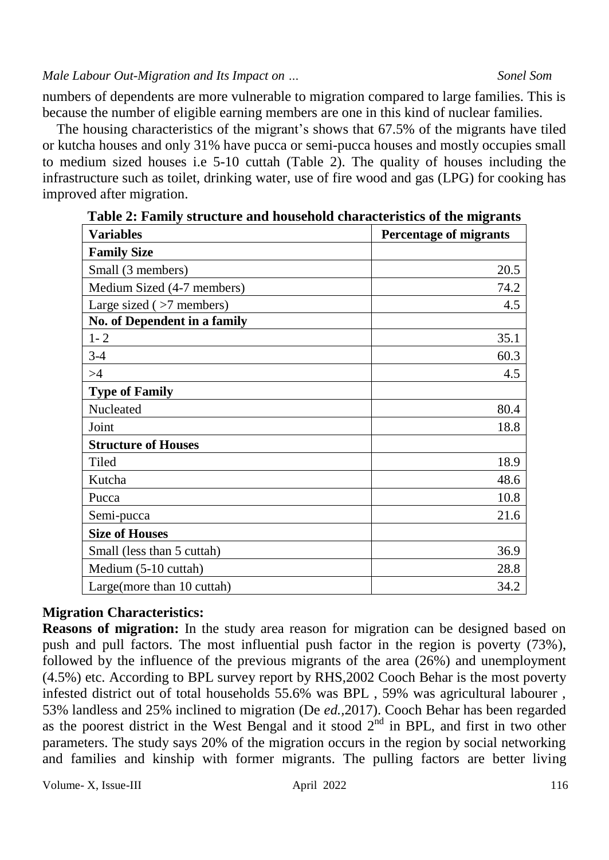numbers of dependents are more vulnerable to migration compared to large families. This is because the number of eligible earning members are one in this kind of nuclear families.

 The housing characteristics of the migrant's shows that 67.5% of the migrants have tiled or kutcha houses and only 31% have pucca or semi-pucca houses and mostly occupies small to medium sized houses i.e 5-10 cuttah (Table 2). The quality of houses including the infrastructure such as toilet, drinking water, use of fire wood and gas (LPG) for cooking has improved after migration.

| <b>Variables</b>             | <b>Percentage of migrants</b> |  |  |
|------------------------------|-------------------------------|--|--|
| <b>Family Size</b>           |                               |  |  |
| Small (3 members)            | 20.5                          |  |  |
| Medium Sized (4-7 members)   | 74.2                          |  |  |
| Large sized $($ >7 members)  | 4.5                           |  |  |
| No. of Dependent in a family |                               |  |  |
| $1 - 2$                      | 35.1                          |  |  |
| $3-4$                        | 60.3                          |  |  |
| >4                           | 4.5                           |  |  |
| <b>Type of Family</b>        |                               |  |  |
| Nucleated                    | 80.4                          |  |  |
| Joint                        | 18.8                          |  |  |
| <b>Structure of Houses</b>   |                               |  |  |
| Tiled                        | 18.9                          |  |  |
| Kutcha                       | 48.6                          |  |  |
| Pucca                        | 10.8                          |  |  |
| Semi-pucca                   | 21.6                          |  |  |
| <b>Size of Houses</b>        |                               |  |  |
| Small (less than 5 cuttah)   | 36.9                          |  |  |
| Medium (5-10 cuttah)         | 28.8                          |  |  |
| Large(more than 10 cuttah)   | 34.2                          |  |  |

| Table 2: Family structure and household characteristics of the migrants |  |  |
|-------------------------------------------------------------------------|--|--|
|                                                                         |  |  |

## **Migration Characteristics:**

**Reasons of migration:** In the study area reason for migration can be designed based on push and pull factors. The most influential push factor in the region is poverty (73%), followed by the influence of the previous migrants of the area (26%) and unemployment (4.5%) etc. According to BPL survey report by RHS,2002 Cooch Behar is the most poverty infested district out of total households 55.6% was BPL , 59% was agricultural labourer , 53% landless and 25% inclined to migration (De *ed.,*2017). Cooch Behar has been regarded as the poorest district in the West Bengal and it stood  $2<sup>nd</sup>$  in BPL, and first in two other parameters. The study says 20% of the migration occurs in the region by social networking and families and kinship with former migrants. The pulling factors are better living

Volume- X, Issue-III april 2022 116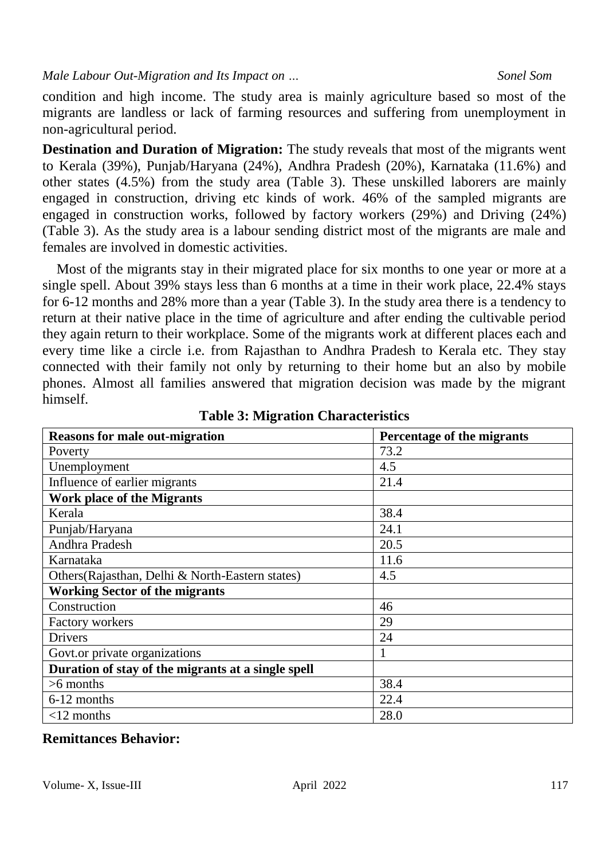condition and high income. The study area is mainly agriculture based so most of the migrants are landless or lack of farming resources and suffering from unemployment in non-agricultural period.

**Destination and Duration of Migration:** The study reveals that most of the migrants went to Kerala (39%), Punjab/Haryana (24%), Andhra Pradesh (20%), Karnataka (11.6%) and other states (4.5%) from the study area (Table 3). These unskilled laborers are mainly engaged in construction, driving etc kinds of work. 46% of the sampled migrants are engaged in construction works, followed by factory workers (29%) and Driving (24%) (Table 3). As the study area is a labour sending district most of the migrants are male and females are involved in domestic activities.

 Most of the migrants stay in their migrated place for six months to one year or more at a single spell. About 39% stays less than 6 months at a time in their work place, 22.4% stays for 6-12 months and 28% more than a year (Table 3). In the study area there is a tendency to return at their native place in the time of agriculture and after ending the cultivable period they again return to their workplace. Some of the migrants work at different places each and every time like a circle i.e. from Rajasthan to Andhra Pradesh to Kerala etc. They stay connected with their family not only by returning to their home but an also by mobile phones. Almost all families answered that migration decision was made by the migrant himself.

| <b>Reasons for male out-migration</b>              | Percentage of the migrants |  |  |
|----------------------------------------------------|----------------------------|--|--|
| Poverty                                            | 73.2                       |  |  |
| Unemployment                                       | 4.5                        |  |  |
| Influence of earlier migrants                      | 21.4                       |  |  |
| <b>Work place of the Migrants</b>                  |                            |  |  |
| Kerala                                             | 38.4                       |  |  |
| Punjab/Haryana                                     | 24.1                       |  |  |
| Andhra Pradesh                                     | 20.5                       |  |  |
| Karnataka                                          | 11.6                       |  |  |
| Others (Rajasthan, Delhi & North-Eastern states)   | 4.5                        |  |  |
| <b>Working Sector of the migrants</b>              |                            |  |  |
| Construction                                       | 46                         |  |  |
| Factory workers                                    | 29                         |  |  |
| <b>Drivers</b>                                     | 24                         |  |  |
| Govt.or private organizations                      |                            |  |  |
| Duration of stay of the migrants at a single spell |                            |  |  |
| $>6$ months                                        | 38.4                       |  |  |
| 6-12 months                                        | 22.4                       |  |  |
| $<$ 12 months                                      | 28.0                       |  |  |

|  |  |  |  |  | <b>Table 3: Migration Characteristics</b> |
|--|--|--|--|--|-------------------------------------------|
|--|--|--|--|--|-------------------------------------------|

# **Remittances Behavior:**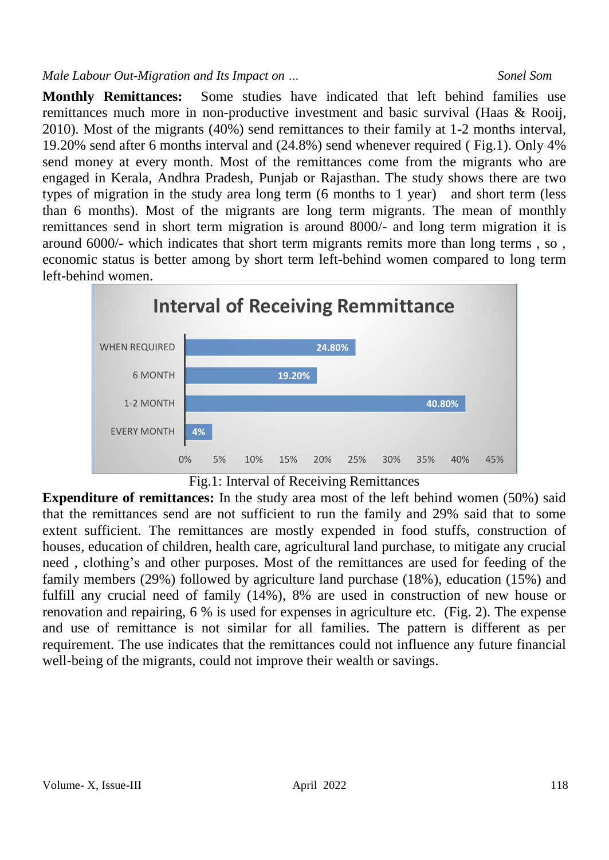**Monthly Remittances:** Some studies have indicated that left behind families use remittances much more in non-productive investment and basic survival (Haas & Rooij, 2010). Most of the migrants (40%) send remittances to their family at 1-2 months interval, 19.20% send after 6 months interval and (24.8%) send whenever required ( Fig.1). Only 4% send money at every month. Most of the remittances come from the migrants who are engaged in Kerala, Andhra Pradesh, Punjab or Rajasthan. The study shows there are two types of migration in the study area long term (6 months to 1 year) and short term (less than 6 months). Most of the migrants are long term migrants. The mean of monthly remittances send in short term migration is around 8000/- and long term migration it is around 6000/- which indicates that short term migrants remits more than long terms , so , economic status is better among by short term left-behind women compared to long term left-behind women.



Fig.1: Interval of Receiving Remittances

**Expenditure of remittances:** In the study area most of the left behind women (50%) said that the remittances send are not sufficient to run the family and 29% said that to some extent sufficient. The remittances are mostly expended in food stuffs, construction of houses, education of children, health care, agricultural land purchase, to mitigate any crucial need , clothing's and other purposes. Most of the remittances are used for feeding of the family members (29%) followed by agriculture land purchase (18%), education (15%) and fulfill any crucial need of family (14%), 8% are used in construction of new house or renovation and repairing, 6 % is used for expenses in agriculture etc. (Fig. 2). The expense and use of remittance is not similar for all families. The pattern is different as per requirement. The use indicates that the remittances could not influence any future financial well-being of the migrants, could not improve their wealth or savings.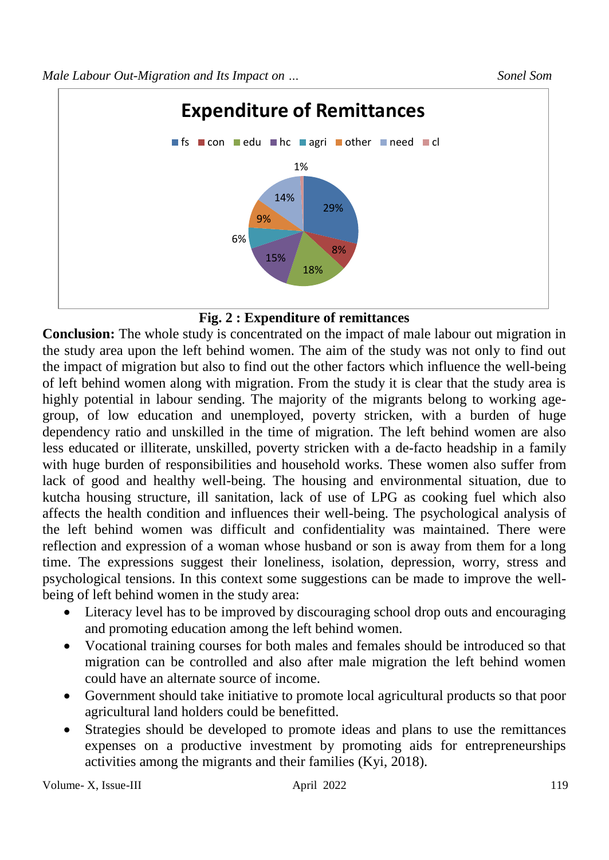



**Conclusion:** The whole study is concentrated on the impact of male labour out migration in the study area upon the left behind women. The aim of the study was not only to find out the impact of migration but also to find out the other factors which influence the well-being of left behind women along with migration. From the study it is clear that the study area is highly potential in labour sending. The majority of the migrants belong to working agegroup, of low education and unemployed, poverty stricken, with a burden of huge dependency ratio and unskilled in the time of migration. The left behind women are also less educated or illiterate, unskilled, poverty stricken with a de-facto headship in a family with huge burden of responsibilities and household works. These women also suffer from lack of good and healthy well-being. The housing and environmental situation, due to kutcha housing structure, ill sanitation, lack of use of LPG as cooking fuel which also affects the health condition and influences their well-being. The psychological analysis of the left behind women was difficult and confidentiality was maintained. There were reflection and expression of a woman whose husband or son is away from them for a long time. The expressions suggest their loneliness, isolation, depression, worry, stress and psychological tensions. In this context some suggestions can be made to improve the wellbeing of left behind women in the study area:

- Literacy level has to be improved by discouraging school drop outs and encouraging and promoting education among the left behind women.
- Vocational training courses for both males and females should be introduced so that migration can be controlled and also after male migration the left behind women could have an alternate source of income.
- Government should take initiative to promote local agricultural products so that poor agricultural land holders could be benefitted.
- Strategies should be developed to promote ideas and plans to use the remittances expenses on a productive investment by promoting aids for entrepreneurships activities among the migrants and their families (Kyi, 2018).

Volume- X, Issue-III and April 2022 119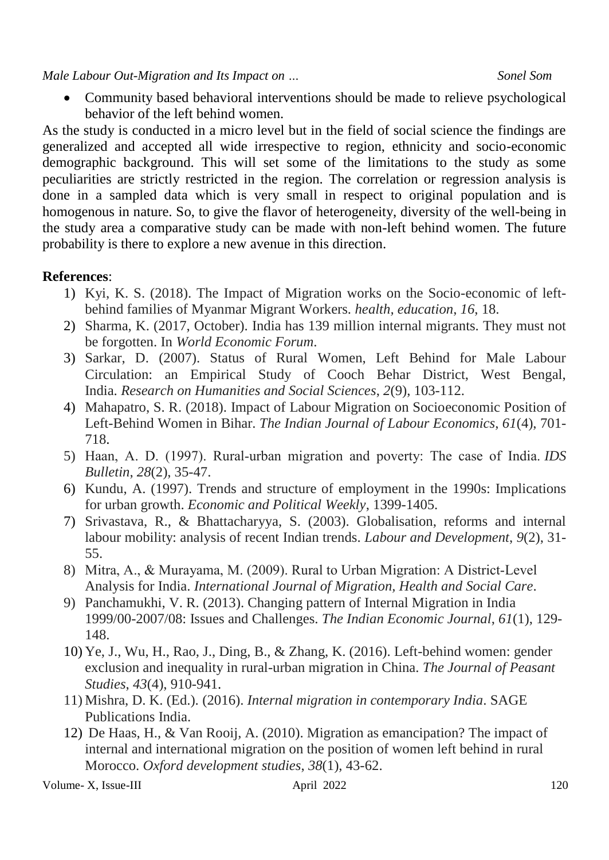Community based behavioral interventions should be made to relieve psychological behavior of the left behind women.

As the study is conducted in a micro level but in the field of social science the findings are generalized and accepted all wide irrespective to region, ethnicity and socio-economic demographic background. This will set some of the limitations to the study as some peculiarities are strictly restricted in the region. The correlation or regression analysis is done in a sampled data which is very small in respect to original population and is homogenous in nature. So, to give the flavor of heterogeneity, diversity of the well-being in the study area a comparative study can be made with non-left behind women. The future probability is there to explore a new avenue in this direction.

### **References**:

- 1) Kyi, K. S. (2018). The Impact of Migration works on the Socio-economic of leftbehind families of Myanmar Migrant Workers. *health, education*, *16*, 18.
- 2) Sharma, K. (2017, October). India has 139 million internal migrants. They must not be forgotten. In *World Economic Forum*.
- 3) Sarkar, D. (2007). Status of Rural Women, Left Behind for Male Labour Circulation: an Empirical Study of Cooch Behar District, West Bengal, India. *Research on Humanities and Social Sciences*, *2*(9), 103-112.
- 4) Mahapatro, S. R. (2018). Impact of Labour Migration on Socioeconomic Position of Left-Behind Women in Bihar. *The Indian Journal of Labour Economics*, *61*(4), 701- 718.
- 5) Haan, A. D. (1997). Rural‐urban migration and poverty: The case of India. *IDS Bulletin*, *28*(2), 35-47.
- 6) Kundu, A. (1997). Trends and structure of employment in the 1990s: Implications for urban growth. *Economic and Political Weekly*, 1399-1405.
- 7) Srivastava, R., & Bhattacharyya, S. (2003). Globalisation, reforms and internal labour mobility: analysis of recent Indian trends. *Labour and Development*, *9*(2), 31- 55.
- 8) Mitra, A., & Murayama, M. (2009). Rural to Urban Migration: A District-Level Analysis for India. *International Journal of Migration, Health and Social Care*.
- 9) Panchamukhi, V. R. (2013). Changing pattern of Internal Migration in India 1999/00-2007/08: Issues and Challenges. *The Indian Economic Journal*, *61*(1), 129- 148.
- 10) Ye, J., Wu, H., Rao, J., Ding, B., & Zhang, K. (2016). Left-behind women: gender exclusion and inequality in rural-urban migration in China. *The Journal of Peasant Studies*, *43*(4), 910-941.
- 11) Mishra, D. K. (Ed.). (2016). *Internal migration in contemporary India*. SAGE Publications India.
- 12) De Haas, H., & Van Rooij, A. (2010). Migration as emancipation? The impact of internal and international migration on the position of women left behind in rural Morocco. *Oxford development studies*, *38*(1), 43-62.